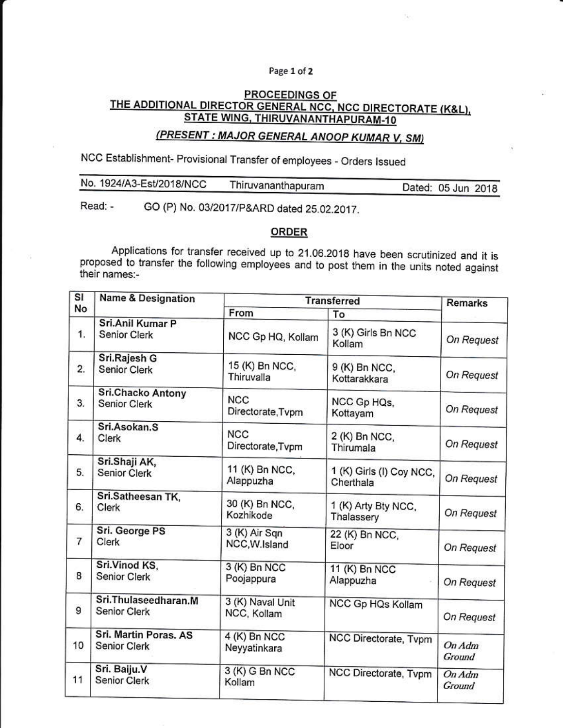## Page 1 of 2

## PROCEEDINGS OF THE ADDITIONAL DIRECTOR GENERAL NCC, NCC DIRECTORATE (K&L), STATE WING, THIRUVANANTHAPURAM-10

## (PRESENT : MAJOR GENERAL ANOOP KUMAR V, SM)

NCC Establishment- Provisional Transfer of employees - Orders Issued

| No. 1924/A3-Est/2018/NCC | Thiruvananthapuram | Dated: 05 Jun 2018 |
|--------------------------|--------------------|--------------------|
|                          |                    |                    |

GO (P) No. 03/2017/P&ARD dated 25.02.2017. Read: -

## ORDER

Applications for transfer received up to 21.06.2018 have been scrutinized and it is proposed to transfer the following employees and to post them in the units noted against their names:-

| $\overline{\mathsf{SI}}$ | <b>Name &amp; Designation</b>         | <b>Transferred</b>              |                                       | <b>Remarks</b>           |
|--------------------------|---------------------------------------|---------------------------------|---------------------------------------|--------------------------|
| No                       |                                       | From                            | To                                    |                          |
| 1.                       | Sri.Anil Kumar P<br>Senior Clerk      | NCC Gp HQ, Kollam               | 3 (K) Girls Bn NCC<br>Kollam          | On Request               |
| 2.                       | Sri.Rajesh G<br><b>Senior Clerk</b>   | 15 (K) Bn NCC,<br>Thiruvalla    | 9 (K) Bn NCC,<br>Kottarakkara         | On Request               |
| 3.                       | Sri.Chacko Antony<br>Senior Clerk     | <b>NCC</b><br>Directorate, Tvpm | NCC Gp HQs,<br>Kottayam               | On Request               |
| 4.                       | Sri.Asokan.S<br>Clerk                 | <b>NCC</b><br>Directorate, Tvpm | 2 (K) Bn NCC,<br>Thirumala            | On Request               |
| 5.                       | Sri.Shaji AK,<br>Senior Clerk         | 11 (K) Bn NCC,<br>Alappuzha     | 1 (K) Girls (I) Coy NCC,<br>Cherthala | On Request               |
| 6.                       | Sri.Satheesan TK,<br>Clerk            | 30 (K) Bn NCC,<br>Kozhikode     | 1 (K) Arty Bty NCC,<br>Thalassery     | On Request               |
| $\overline{7}$           | Sri. George PS<br><b>Clerk</b>        | 3 (K) Air Sqn<br>NCC, W.Island  | 22 (K) Bn NCC,<br>Eloor               | On Request               |
| 8                        | Sri.Vinod KS,<br>Senior Clerk         | 3 (K) Bn NCC<br>Poojappura      | 11 (K) Bn NCC<br>Alappuzha            | On Request               |
| 9                        | Sri.Thulaseedharan.M<br>Senior Clerk  | 3 (K) Naval Unit<br>NCC, Kollam | NCC Gp HQs Kollam                     | On Request               |
| 10                       | Sri. Martin Poras. AS<br>Senior Clerk | 4 (K) Bn NCC<br>Neyyatinkara    | NCC Directorate, Tvpm                 | $On\text{Adm}$<br>Ground |
| 11                       | Sri. Baiju.V<br>Senior Clerk          | 3 (K) G Bn NCC<br>Kollam        | NCC Directorate, Tvpm                 | On Adm<br>Ground         |